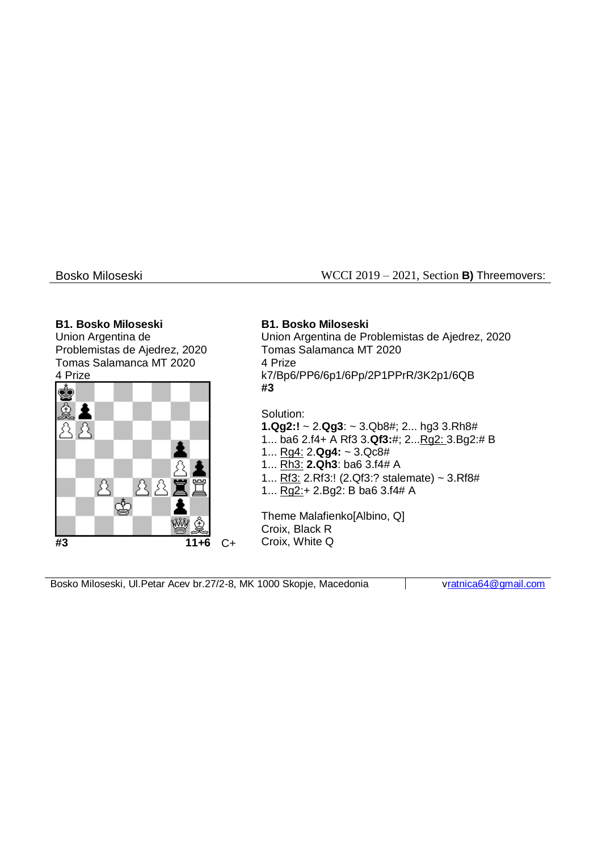Bosko Miloseski WCCI 2019 – 2021, Section **B)** Threemovers:

### **B1. Bosko Miloseski**

Union Argentina de Problemistas de Ajedrez, 2020 Tomas Salamanca MT 2020 4 Prize



# **B1. Bosko Miloseski**

Union Argentina de Problemistas de Ajedrez, 2020 Tomas Salamanca MT 2020 4 Prize k7/Bp6/PP6/6p1/6Pp/2P1PPrR/3K2p1/6QB **#3**

Solution:

**1.Qg2:!** ~ 2.**Qg3**: ~ 3.Qb8#; 2... hg3 3.Rh8#

- 1... ba6 2.f4+ A Rf3 3.**Qf3:**#; 2...Rg2: 3.Bg2:# B
- 1... Rg4: 2.**Qg4:** ~ 3.Qc8#
- 1... Rh3: **2.Qh3**: ba6 3.f4# A
- 1... Rf3: 2.Rf3:! (2.Qf3:? stalemate) ~ 3.Rf8#
- 1... Rg2:+ 2.Bg2: B ba6 3.f4# A

Theme Malafienko[Albino, Q] Croix, Black R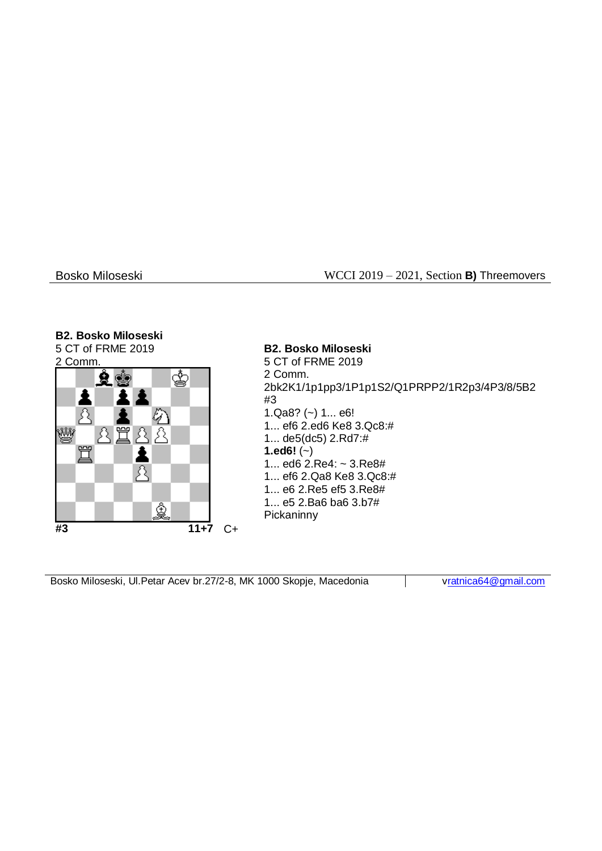## Bosko Miloseski WCCI 2019 – 2021, Section **B)** Threemovers

### **B2. Bosko Miloseski**

5 CT of FRME 2019



**B2. Bosko Miloseski** 5 CT of FRME 2019 2 Comm. 2bk2K1/1p1pp3/1P1p1S2/Q1PRPP2/1R2p3/4P3/8/5B2 #3 1.Qa8? (~) 1... e6! 1... ef6 2.ed6 Ke8 3.Qc8:# 1... de5(dc5) 2.Rd7:# **1.ed6!**  $(-)$ 1... ed6 2.Re4: ~ 3.Re8# 1... ef6 2.Qa8 Ke8 3.Qc8:# 1... e6 2.Re5 ef5 3.Re8# 1... e5 2.Ba6 ba6 3.b7# **Pickaninny**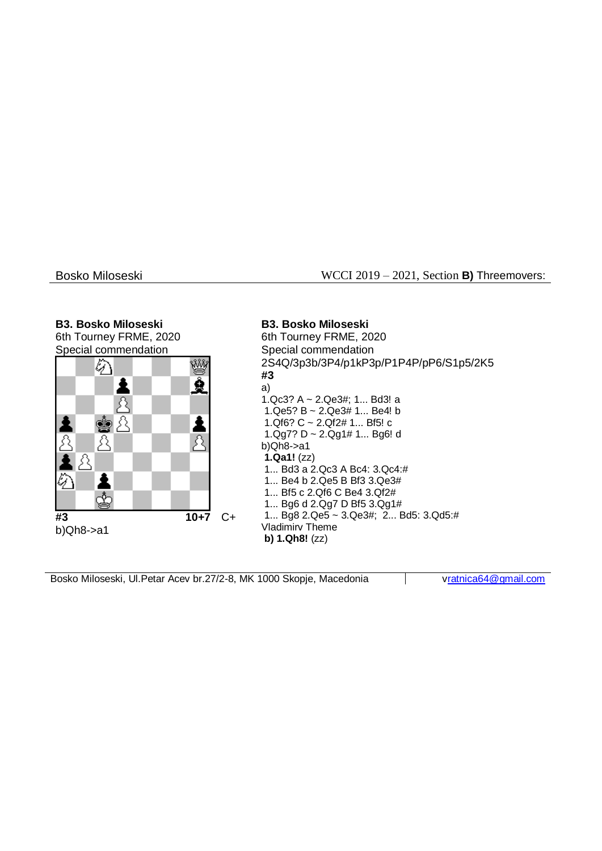#### Bosko Miloseski WCCI 2019 – 2021, Section **B)** Threemovers:

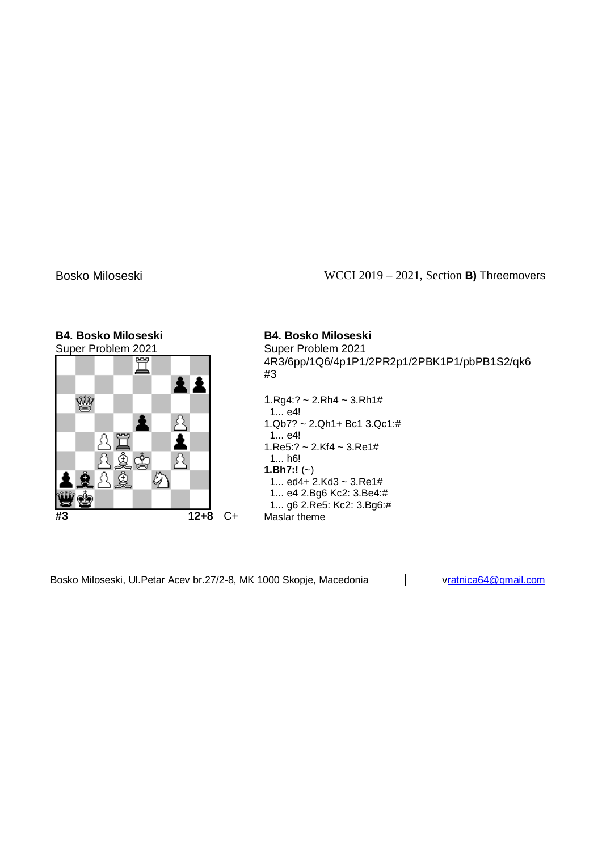### Bosko Miloseski WCCI 2019 – 2021, Section **B)** Threemovers

#### **B4. Bosko Miloseski B4. Bosko Miloseski** Super Problem 2021 Super Problem 2021 4R3/6pp/1Q6/4p1P1/2PR2p1/2PBK1P1/pbPB1S2/qk6 #3 Ŵ  $1.Rg4:? \sim 2.Rh4 \sim 3.Rh1#$  1... e4! β 1.Qb7? ~ 2.Qh1+ Bc1 3.Qc1:# 1... e4! 胃 A 1.Re5:? ~ 2.Kf4 ~ 3.Re1# 1... h6! 八 **1.Bh7:!** (~) の 1... ed4+ 2.Kd3 ~ 3.Re1# 1... e4 2.Bg6 Kc2: 3.Be4:# 1... g6 2.Re5: Kc2: 3.Bg6:# **#3 12+8** C+ Maslar theme

|  |  | Bosko Miloseski, UI. Petar Acev br. 27/2-8, MK 1000 Skopje, Macedonia | vratn |
|--|--|-----------------------------------------------------------------------|-------|
|--|--|-----------------------------------------------------------------------|-------|

hica64@gmail.com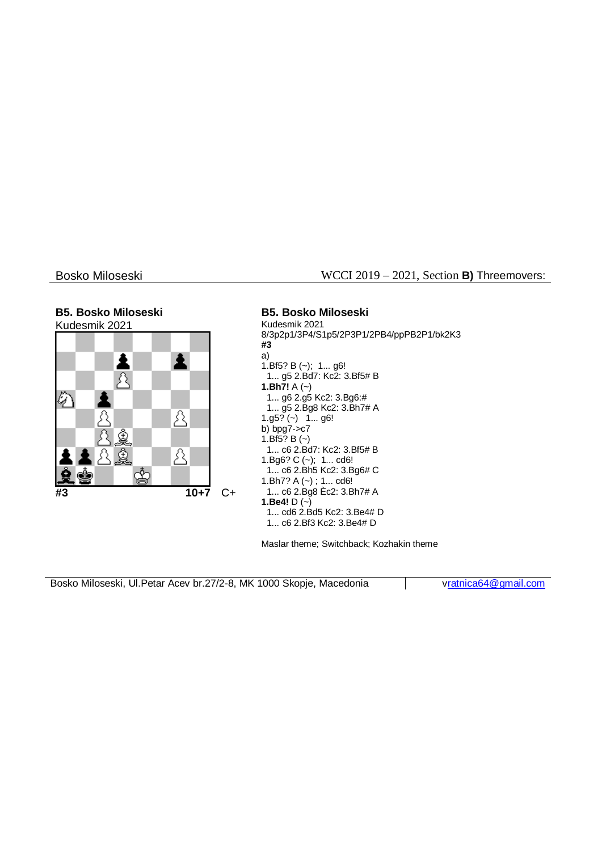### Bosko Miloseski WCCI 2019 – 2021, Section **B)** Threemovers:

#### **B5. Bosko Miloseski B5. Bosko Miloseski** Kudesmik 2021 Kudesmik 2021 8/3p2p1/3P4/S1p5/2P3P1/2PB4/ppPB2P1/bk2K3 **#3** a) 主 i 1.Bf5? B (~); 1... g6! R 1... g5 2.Bd7: Kc2: 3.Bf5# B **1.Bh7!** A (~) ⊘ 1... g6 2.g5 Kc2: 3.Bg6:# 1... g5 2.Bg8 Kc2: 3.Bh7# A Ā Д  $1.95$ ? (~)  $1...96!$ b) bpg7->c7 1.Bf5?  $B (-)$  1... c6 2.Bd7: Kc2: 3.Bf5# B Ā 1.Bg6? C (~); 1... cd6! ♔ 1... c6 2.Bh5 Kc2: 3.Bg6# C 1.Bh7? A (~) ; 1... cd6! **#3 10+7** C+ 1... c6 2.Bg8 Èc2: 3.Bh7# A **1.Be4!** D (~) 1... cd6 2.Bd5 Kc2: 3.Be4# D 1... c6 2.Bf3 Kc2: 3.Be4# D

Maslar theme; Switchback; Kozhakin theme